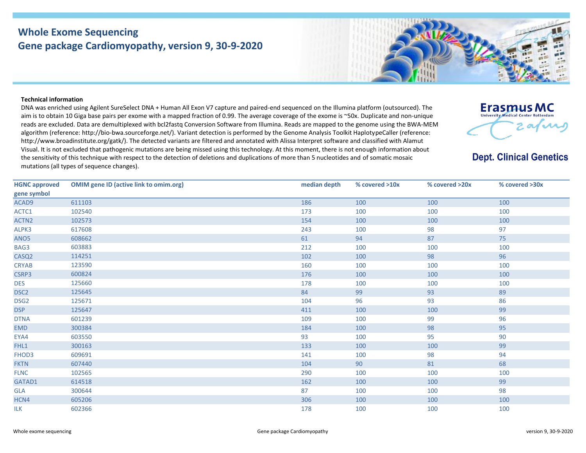## **Whole Exome Sequencing Gene package Cardiomyopathy, version 9, 30-9-2020**

## **Technical information**

DNA was enriched using Agilent SureSelect DNA + Human All Exon V7 capture and paired-end sequenced on the Illumina platform (outsourced). The aim is to obtain 10 Giga base pairs per exome with a mapped fraction of 0.99. The average coverage of the exome is ~50x. Duplicate and non-unique reads are excluded. Data are demultiplexed with bcl2fastq Conversion Software from Illumina. Reads are mapped to the genome using the BWA-MEM algorithm (reference: http://bio‐bwa.sourceforge.net/). Variant detection is performed by the Genome Analysis Toolkit HaplotypeCaller (reference: http://www.broadinstitute.org/gatk/). The detected variants are filtered and annotated with Alissa Interpret software and classified with Alamut Visual. It is not excluded that pathogenic mutations are being missed using this technology. At this moment, there is not enough information about the sensitivity of this technique with respect to the detection of deletions and duplications of more than 5 nucleotides and of somatic mosaic mutations (all types of sequence changes).



**Dept. Clinical Genetics** 

| <b>HGNC approved</b> | <b>OMIM gene ID (active link to omim.org)</b> | median depth | % covered >10x | % covered >20x | % covered >30x |
|----------------------|-----------------------------------------------|--------------|----------------|----------------|----------------|
| gene symbol          |                                               |              |                |                |                |
| ACAD9                | 611103                                        | 186          | 100            | 100            | 100            |
| ACTC1                | 102540                                        | 173          | 100            | 100            | 100            |
| ACTN <sub>2</sub>    | 102573                                        | 154          | 100            | 100            | 100            |
| ALPK3                | 617608                                        | 243          | 100            | 98             | 97             |
| ANO <sub>5</sub>     | 608662                                        | 61           | 94             | 87             | 75             |
| BAG3                 | 603883                                        | 212          | 100            | 100            | 100            |
| CASQ <sub>2</sub>    | 114251                                        | 102          | 100            | 98             | 96             |
| <b>CRYAB</b>         | 123590                                        | 160          | 100            | 100            | 100            |
| CSRP3                | 600824                                        | 176          | 100            | 100            | 100            |
| <b>DES</b>           | 125660                                        | 178          | 100            | 100            | 100            |
| DSC <sub>2</sub>     | 125645                                        | 84           | 99             | 93             | 89             |
| DSG <sub>2</sub>     | 125671                                        | 104          | 96             | 93             | 86             |
| <b>DSP</b>           | 125647                                        | 411          | 100            | 100            | 99             |
| <b>DTNA</b>          | 601239                                        | 109          | 100            | 99             | 96             |
| <b>EMD</b>           | 300384                                        | 184          | 100            | 98             | 95             |
| EYA4                 | 603550                                        | 93           | 100            | 95             | 90             |
| FHL1                 | 300163                                        | 133          | 100            | 100            | 99             |
| FHOD3                | 609691                                        | 141          | 100            | 98             | 94             |
| <b>FKTN</b>          | 607440                                        | 104          | 90             | 81             | 68             |
| <b>FLNC</b>          | 102565                                        | 290          | 100            | 100            | 100            |
| GATAD1               | 614518                                        | 162          | 100            | 100            | 99             |
| GLA                  | 300644                                        | 87           | 100            | 100            | 98             |
| HCN4                 | 605206                                        | 306          | 100            | 100            | 100            |
| <b>ILK</b>           | 602366                                        | 178          | 100            | 100            | 100            |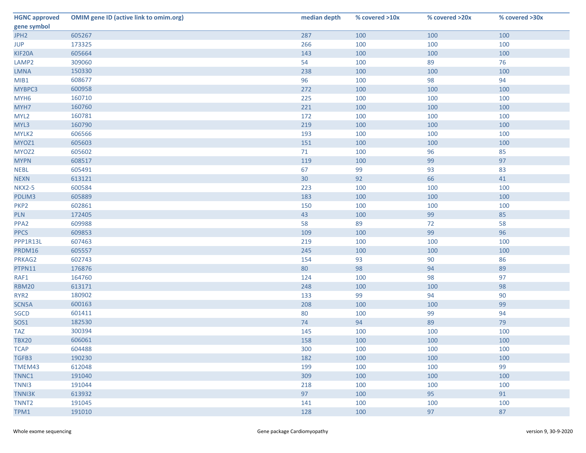| <b>HGNC approved</b> | <b>OMIM gene ID (active link to omim.org)</b> | median depth | % covered >10x | % covered >20x | % covered >30x |
|----------------------|-----------------------------------------------|--------------|----------------|----------------|----------------|
| gene symbol          |                                               |              |                |                |                |
| JPH <sub>2</sub>     | 605267                                        | 287          | 100            | 100            | 100            |
| <b>JUP</b>           | 173325                                        | 266          | 100            | 100            | 100            |
| KIF20A               | 605664                                        | 143          | 100            | 100            | 100            |
| LAMP <sub>2</sub>    | 309060                                        | 54           | 100            | 89             | 76             |
| <b>LMNA</b>          | 150330                                        | 238          | 100            | 100            | 100            |
| MIB1                 | 608677                                        | 96           | 100            | 98             | 94             |
| MYBPC3               | 600958                                        | 272          | 100            | 100            | 100            |
| MYH <sub>6</sub>     | 160710                                        | 225          | 100            | 100            | 100            |
| MYH7                 | 160760                                        | 221          | 100            | 100            | 100            |
| MYL <sub>2</sub>     | 160781                                        | 172          | 100            | 100            | 100            |
| MYL3                 | 160790                                        | 219          | 100            | 100            | 100            |
| MYLK2                | 606566                                        | 193          | 100            | 100            | 100            |
| MYOZ1                | 605603                                        | 151          | 100            | 100            | 100            |
| MYOZ2                | 605602                                        | 71           | 100            | 96             | 85             |
| <b>MYPN</b>          | 608517                                        | 119          | 100            | 99             | 97             |
| <b>NEBL</b>          | 605491                                        | 67           | 99             | 93             | 83             |
| <b>NEXN</b>          | 613121                                        | 30           | 92             | 66             | 41             |
| <b>NKX2-5</b>        | 600584                                        | 223          | 100            | 100            | 100            |
| PDLIM3               | 605889                                        | 183          | 100            | 100            | 100            |
| PKP <sub>2</sub>     | 602861                                        | 150          | 100            | 100            | 100            |
| <b>PLN</b>           | 172405                                        | 43           | 100            | 99             | 85             |
| PPA <sub>2</sub>     | 609988                                        | 58           | 89             | 72             | 58             |
| <b>PPCS</b>          | 609853                                        | 109          | 100            | 99             | 96             |
| PPP1R13L             | 607463                                        | 219          | 100            | 100            | 100            |
| PRDM16               | 605557                                        | 245          | 100            | 100            | 100            |
| PRKAG2               | 602743                                        | 154          | 93             | 90             | 86             |
| PTPN11               | 176876                                        | 80           | 98             | 94             | 89             |
| RAF1                 | 164760                                        | 124          | 100            | 98             | 97             |
| <b>RBM20</b>         | 613171                                        | 248          | 100            | 100            | 98             |
| RYR <sub>2</sub>     | 180902                                        | 133          | 99             | 94             | 90             |
| SCN5A                | 600163                                        | 208          | 100            | 100            | 99             |
| <b>SGCD</b>          | 601411                                        | 80           | 100            | 99             | 94             |
| SOS1                 | 182530                                        | 74           | 94             | 89             | 79             |
| <b>TAZ</b>           | 300394                                        | 145          | 100            | 100            | 100            |
| <b>TBX20</b>         | 606061                                        | 158          | 100            | 100            | 100            |
| <b>TCAP</b>          | 604488                                        | 300          | 100            | 100            | 100            |
| TGFB3                | 190230                                        | 182          | 100            | 100            | 100            |
| TMEM43               | 612048                                        | 199          | 100            | 100            | 99             |
| TNNC1                | 191040                                        | 309          | 100            | 100            | 100            |
| TNN <sub>13</sub>    | 191044                                        | 218          | 100            | 100            | 100            |
| <b>TNNI3K</b>        | 613932                                        | 97           | 100            | 95             | 91             |
| TNNT <sub>2</sub>    | 191045                                        | 141          | 100            | 100            | 100            |
| TPM1                 | 191010                                        | 128          | 100            | 97             | 87             |